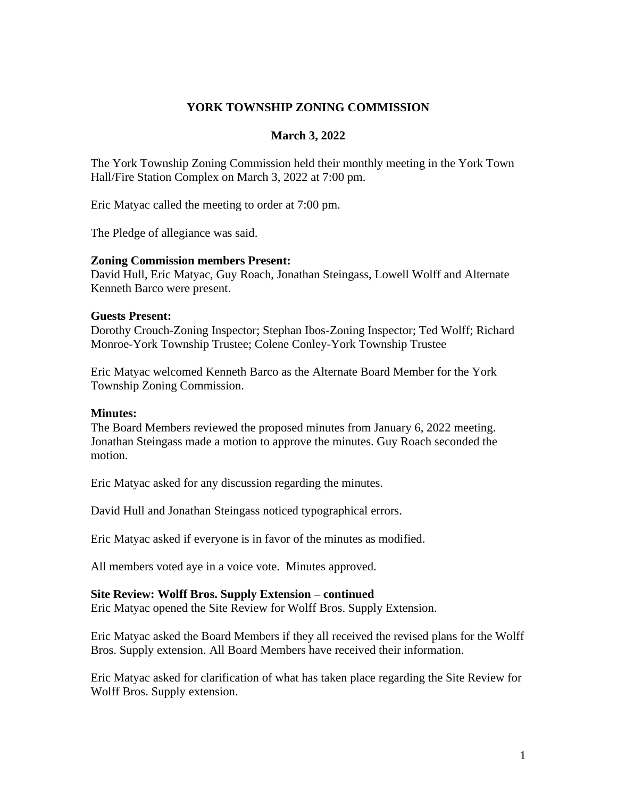# **YORK TOWNSHIP ZONING COMMISSION**

## **March 3, 2022**

The York Township Zoning Commission held their monthly meeting in the York Town Hall/Fire Station Complex on March 3, 2022 at 7:00 pm.

Eric Matyac called the meeting to order at 7:00 pm.

The Pledge of allegiance was said.

## **Zoning Commission members Present:**

David Hull, Eric Matyac, Guy Roach, Jonathan Steingass, Lowell Wolff and Alternate Kenneth Barco were present.

## **Guests Present:**

Dorothy Crouch-Zoning Inspector; Stephan Ibos-Zoning Inspector; Ted Wolff; Richard Monroe-York Township Trustee; Colene Conley-York Township Trustee

Eric Matyac welcomed Kenneth Barco as the Alternate Board Member for the York Township Zoning Commission.

#### **Minutes:**

The Board Members reviewed the proposed minutes from January 6, 2022 meeting. Jonathan Steingass made a motion to approve the minutes. Guy Roach seconded the motion.

Eric Matyac asked for any discussion regarding the minutes.

David Hull and Jonathan Steingass noticed typographical errors.

Eric Matyac asked if everyone is in favor of the minutes as modified.

All members voted aye in a voice vote. Minutes approved.

#### **Site Review: Wolff Bros. Supply Extension – continued**

Eric Matyac opened the Site Review for Wolff Bros. Supply Extension.

Eric Matyac asked the Board Members if they all received the revised plans for the Wolff Bros. Supply extension. All Board Members have received their information.

Eric Matyac asked for clarification of what has taken place regarding the Site Review for Wolff Bros. Supply extension.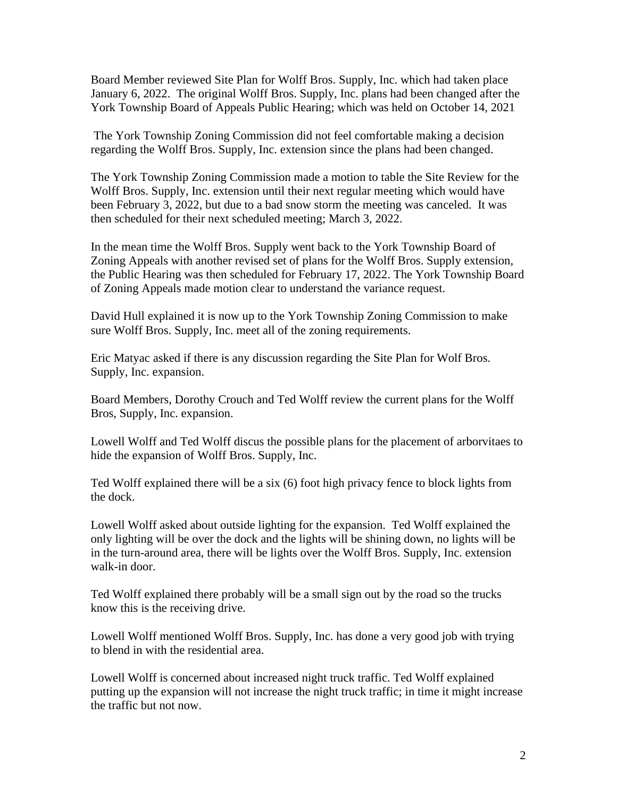Board Member reviewed Site Plan for Wolff Bros. Supply, Inc. which had taken place January 6, 2022. The original Wolff Bros. Supply, Inc. plans had been changed after the York Township Board of Appeals Public Hearing; which was held on October 14, 2021

The York Township Zoning Commission did not feel comfortable making a decision regarding the Wolff Bros. Supply, Inc. extension since the plans had been changed.

The York Township Zoning Commission made a motion to table the Site Review for the Wolff Bros. Supply, Inc. extension until their next regular meeting which would have been February 3, 2022, but due to a bad snow storm the meeting was canceled. It was then scheduled for their next scheduled meeting; March 3, 2022.

In the mean time the Wolff Bros. Supply went back to the York Township Board of Zoning Appeals with another revised set of plans for the Wolff Bros. Supply extension, the Public Hearing was then scheduled for February 17, 2022. The York Township Board of Zoning Appeals made motion clear to understand the variance request.

David Hull explained it is now up to the York Township Zoning Commission to make sure Wolff Bros. Supply, Inc. meet all of the zoning requirements.

Eric Matyac asked if there is any discussion regarding the Site Plan for Wolf Bros. Supply, Inc. expansion.

Board Members, Dorothy Crouch and Ted Wolff review the current plans for the Wolff Bros, Supply, Inc. expansion.

Lowell Wolff and Ted Wolff discus the possible plans for the placement of arborvitaes to hide the expansion of Wolff Bros. Supply, Inc.

Ted Wolff explained there will be a six (6) foot high privacy fence to block lights from the dock.

Lowell Wolff asked about outside lighting for the expansion. Ted Wolff explained the only lighting will be over the dock and the lights will be shining down, no lights will be in the turn-around area, there will be lights over the Wolff Bros. Supply, Inc. extension walk-in door.

Ted Wolff explained there probably will be a small sign out by the road so the trucks know this is the receiving drive.

Lowell Wolff mentioned Wolff Bros. Supply, Inc. has done a very good job with trying to blend in with the residential area.

Lowell Wolff is concerned about increased night truck traffic. Ted Wolff explained putting up the expansion will not increase the night truck traffic; in time it might increase the traffic but not now.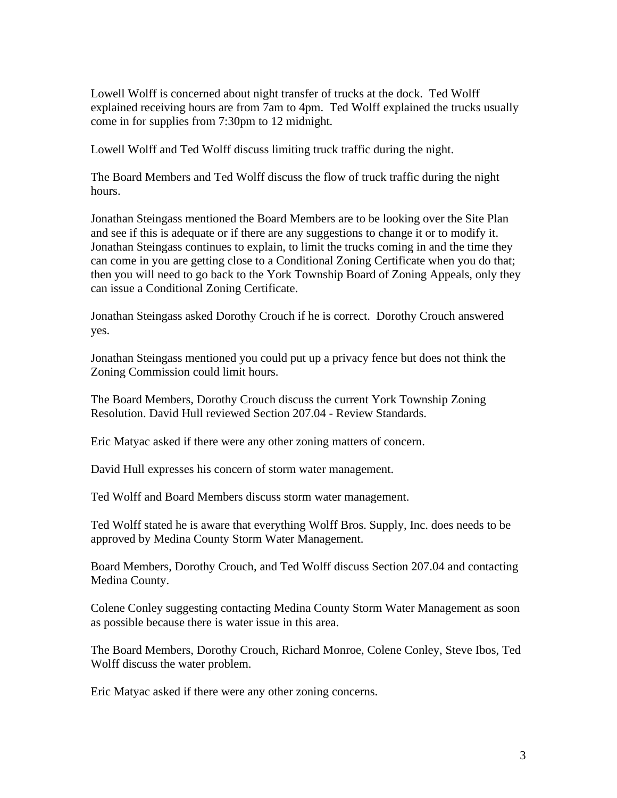Lowell Wolff is concerned about night transfer of trucks at the dock. Ted Wolff explained receiving hours are from 7am to 4pm. Ted Wolff explained the trucks usually come in for supplies from 7:30pm to 12 midnight.

Lowell Wolff and Ted Wolff discuss limiting truck traffic during the night.

The Board Members and Ted Wolff discuss the flow of truck traffic during the night hours.

Jonathan Steingass mentioned the Board Members are to be looking over the Site Plan and see if this is adequate or if there are any suggestions to change it or to modify it. Jonathan Steingass continues to explain, to limit the trucks coming in and the time they can come in you are getting close to a Conditional Zoning Certificate when you do that; then you will need to go back to the York Township Board of Zoning Appeals, only they can issue a Conditional Zoning Certificate.

Jonathan Steingass asked Dorothy Crouch if he is correct. Dorothy Crouch answered yes.

Jonathan Steingass mentioned you could put up a privacy fence but does not think the Zoning Commission could limit hours.

The Board Members, Dorothy Crouch discuss the current York Township Zoning Resolution. David Hull reviewed Section 207.04 - Review Standards.

Eric Matyac asked if there were any other zoning matters of concern.

David Hull expresses his concern of storm water management.

Ted Wolff and Board Members discuss storm water management.

Ted Wolff stated he is aware that everything Wolff Bros. Supply, Inc. does needs to be approved by Medina County Storm Water Management.

Board Members, Dorothy Crouch, and Ted Wolff discuss Section 207.04 and contacting Medina County.

Colene Conley suggesting contacting Medina County Storm Water Management as soon as possible because there is water issue in this area.

The Board Members, Dorothy Crouch, Richard Monroe, Colene Conley, Steve Ibos, Ted Wolff discuss the water problem.

Eric Matyac asked if there were any other zoning concerns.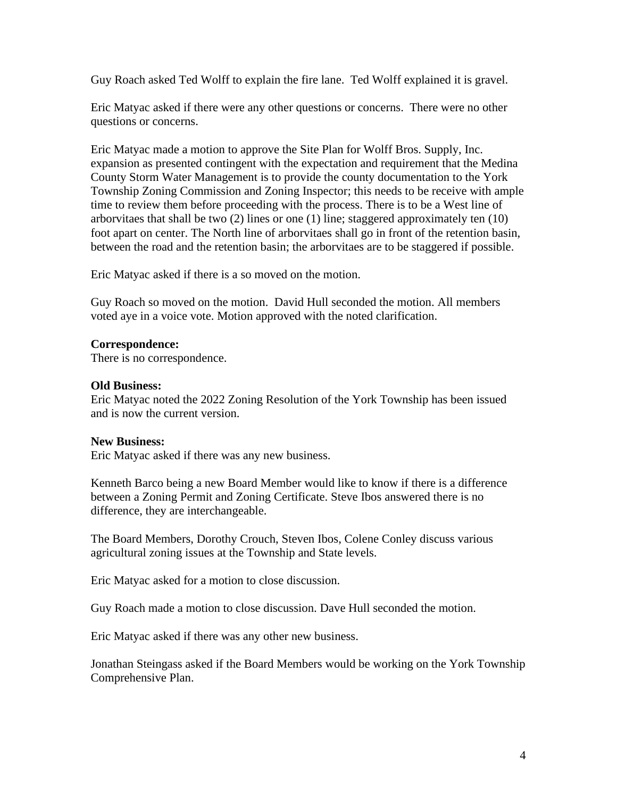Guy Roach asked Ted Wolff to explain the fire lane. Ted Wolff explained it is gravel.

Eric Matyac asked if there were any other questions or concerns. There were no other questions or concerns.

Eric Matyac made a motion to approve the Site Plan for Wolff Bros. Supply, Inc. expansion as presented contingent with the expectation and requirement that the Medina County Storm Water Management is to provide the county documentation to the York Township Zoning Commission and Zoning Inspector; this needs to be receive with ample time to review them before proceeding with the process. There is to be a West line of arborvitaes that shall be two  $(2)$  lines or one  $(1)$  line; staggered approximately ten  $(10)$ foot apart on center. The North line of arborvitaes shall go in front of the retention basin, between the road and the retention basin; the arborvitaes are to be staggered if possible.

Eric Matyac asked if there is a so moved on the motion.

Guy Roach so moved on the motion. David Hull seconded the motion. All members voted aye in a voice vote. Motion approved with the noted clarification.

## **Correspondence:**

There is no correspondence.

## **Old Business:**

Eric Matyac noted the 2022 Zoning Resolution of the York Township has been issued and is now the current version.

#### **New Business:**

Eric Matyac asked if there was any new business.

Kenneth Barco being a new Board Member would like to know if there is a difference between a Zoning Permit and Zoning Certificate. Steve Ibos answered there is no difference, they are interchangeable.

The Board Members, Dorothy Crouch, Steven Ibos, Colene Conley discuss various agricultural zoning issues at the Township and State levels.

Eric Matyac asked for a motion to close discussion.

Guy Roach made a motion to close discussion. Dave Hull seconded the motion.

Eric Matyac asked if there was any other new business.

Jonathan Steingass asked if the Board Members would be working on the York Township Comprehensive Plan.